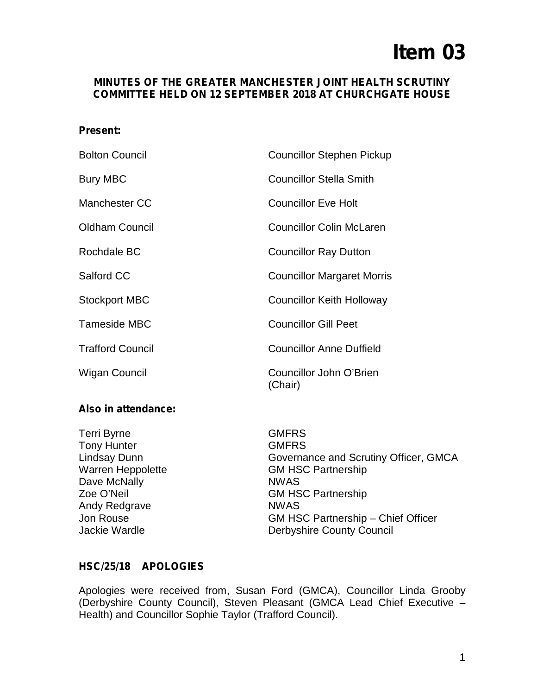# **Item 03**

# **MINUTES OF THE GREATER MANCHESTER JOINT HEALTH SCRUTINY COMMITTEE HELD ON 12 SEPTEMBER 2018 AT CHURCHGATE HOUSE**

#### **Present:**

| <b>Bolton Council</b>   | <b>Councillor Stephen Pickup</b>   |
|-------------------------|------------------------------------|
| <b>Bury MBC</b>         | <b>Councillor Stella Smith</b>     |
| Manchester CC           | <b>Councillor Eve Holt</b>         |
| <b>Oldham Council</b>   | <b>Councillor Colin McLaren</b>    |
| Rochdale BC             | <b>Councillor Ray Dutton</b>       |
| Salford CC              | <b>Councillor Margaret Morris</b>  |
| <b>Stockport MBC</b>    | <b>Councillor Keith Holloway</b>   |
| <b>Tameside MBC</b>     | <b>Councillor Gill Peet</b>        |
| <b>Trafford Council</b> | <b>Councillor Anne Duffield</b>    |
| Wigan Council           | Councillor John O'Brien<br>(Chair) |

## **Also in attendance:**

Terri Byrne GMFRS Tony Hunter **GMFRS** Dave McNally NWAS Andy Redgrave NWAS

Lindsay Dunn Governance and Scrutiny Officer, GMCA Warren Heppolette GM HSC Partnership Zoe O'Neil GM HSC Partnership Jon Rouse GM HSC Partnership – Chief Officer Jackie Wardle **Derbyshire County Council** 

## **HSC/25/18 APOLOGIES**

Apologies were received from, Susan Ford (GMCA), Councillor Linda Grooby (Derbyshire County Council), Steven Pleasant (GMCA Lead Chief Executive – Health) and Councillor Sophie Taylor (Trafford Council).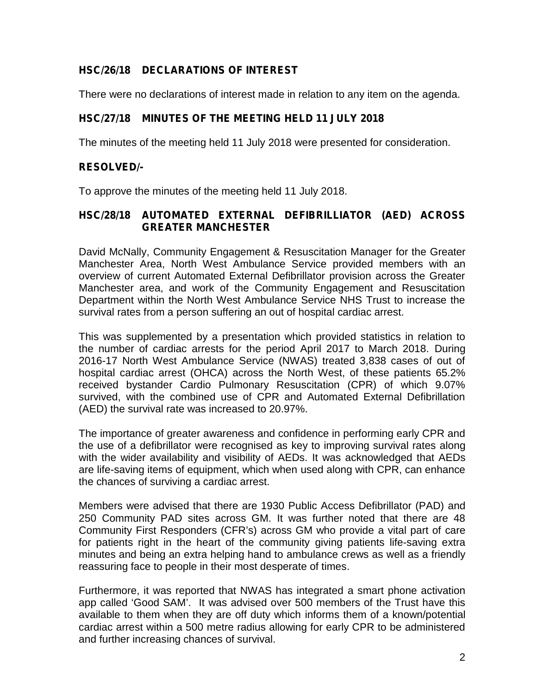# **HSC/26/18 DECLARATIONS OF INTEREST**

There were no declarations of interest made in relation to any item on the agenda.

# **HSC/27/18 MINUTES OF THE MEETING HELD 11 JULY 2018**

The minutes of the meeting held 11 July 2018 were presented for consideration.

# **RESOLVED/-**

To approve the minutes of the meeting held 11 July 2018.

# **HSC/28/18 AUTOMATED EXTERNAL DEFIBRILLIATOR (AED) ACROSS GREATER MANCHESTER**

David McNally, Community Engagement & Resuscitation Manager for the Greater Manchester Area, North West Ambulance Service provided members with an overview of current Automated External Defibrillator provision across the Greater Manchester area, and work of the Community Engagement and Resuscitation Department within the North West Ambulance Service NHS Trust to increase the survival rates from a person suffering an out of hospital cardiac arrest.

This was supplemented by a presentation which provided statistics in relation to the number of cardiac arrests for the period April 2017 to March 2018. During 2016-17 North West Ambulance Service (NWAS) treated 3,838 cases of out of hospital cardiac arrest (OHCA) across the North West, of these patients 65.2% received bystander Cardio Pulmonary Resuscitation (CPR) of which 9.07% survived, with the combined use of CPR and Automated External Defibrillation (AED) the survival rate was increased to 20.97%.

The importance of greater awareness and confidence in performing early CPR and the use of a defibrillator were recognised as key to improving survival rates along with the wider availability and visibility of AEDs. It was acknowledged that AEDs are life-saving items of equipment, which when used along with CPR, can enhance the chances of surviving a cardiac arrest.

Members were advised that there are 1930 Public Access Defibrillator (PAD) and 250 Community PAD sites across GM. It was further noted that there are 48 Community First Responders (CFR's) across GM who provide a vital part of care for patients right in the heart of the community giving patients life-saving extra minutes and being an extra helping hand to ambulance crews as well as a friendly reassuring face to people in their most desperate of times.

Furthermore, it was reported that NWAS has integrated a smart phone activation app called 'Good SAM'. It was advised over 500 members of the Trust have this available to them when they are off duty which informs them of a known/potential cardiac arrest within a 500 metre radius allowing for early CPR to be administered and further increasing chances of survival.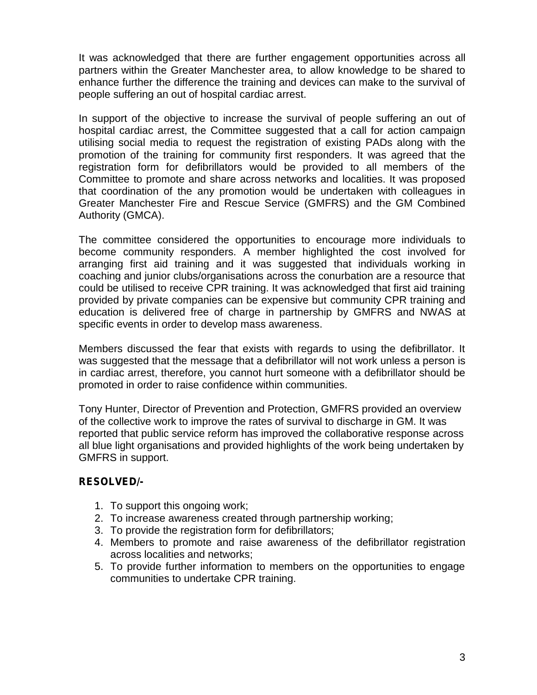It was acknowledged that there are further engagement opportunities across all partners within the Greater Manchester area, to allow knowledge to be shared to enhance further the difference the training and devices can make to the survival of people suffering an out of hospital cardiac arrest.

In support of the objective to increase the survival of people suffering an out of hospital cardiac arrest, the Committee suggested that a call for action campaign utilising social media to request the registration of existing PADs along with the promotion of the training for community first responders. It was agreed that the registration form for defibrillators would be provided to all members of the Committee to promote and share across networks and localities. It was proposed that coordination of the any promotion would be undertaken with colleagues in Greater Manchester Fire and Rescue Service (GMFRS) and the GM Combined Authority (GMCA).

The committee considered the opportunities to encourage more individuals to become community responders. A member highlighted the cost involved for arranging first aid training and it was suggested that individuals working in coaching and junior clubs/organisations across the conurbation are a resource that could be utilised to receive CPR training. It was acknowledged that first aid training provided by private companies can be expensive but community CPR training and education is delivered free of charge in partnership by GMFRS and NWAS at specific events in order to develop mass awareness.

Members discussed the fear that exists with regards to using the defibrillator. It was suggested that the message that a defibrillator will not work unless a person is in cardiac arrest, therefore, you cannot hurt someone with a defibrillator should be promoted in order to raise confidence within communities.

Tony Hunter, Director of Prevention and Protection, GMFRS provided an overview of the collective work to improve the rates of survival to discharge in GM. It was reported that public service reform has improved the collaborative response across all blue light organisations and provided highlights of the work being undertaken by GMFRS in support.

## **RESOLVED/-**

- 1. To support this ongoing work;
- 2. To increase awareness created through partnership working;
- 3. To provide the registration form for defibrillators;
- 4. Members to promote and raise awareness of the defibrillator registration across localities and networks;
- 5. To provide further information to members on the opportunities to engage communities to undertake CPR training.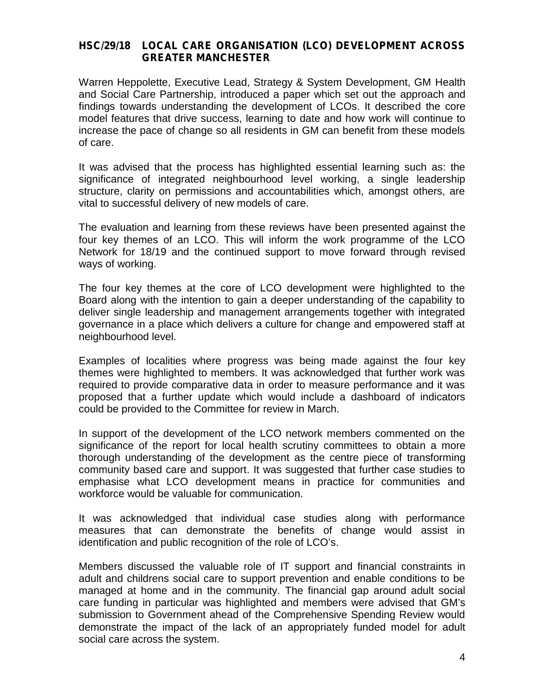#### **HSC/29/18 LOCAL CARE ORGANISATION (LCO) DEVELOPMENT ACROSS GREATER MANCHESTER**

Warren Heppolette, Executive Lead, Strategy & System Development, GM Health and Social Care Partnership, introduced a paper which set out the approach and findings towards understanding the development of LCOs. It described the core model features that drive success, learning to date and how work will continue to increase the pace of change so all residents in GM can benefit from these models of care.

It was advised that the process has highlighted essential learning such as: the significance of integrated neighbourhood level working, a single leadership structure, clarity on permissions and accountabilities which, amongst others, are vital to successful delivery of new models of care.

The evaluation and learning from these reviews have been presented against the four key themes of an LCO. This will inform the work programme of the LCO Network for 18/19 and the continued support to move forward through revised ways of working.

The four key themes at the core of LCO development were highlighted to the Board along with the intention to gain a deeper understanding of the capability to deliver single leadership and management arrangements together with integrated governance in a place which delivers a culture for change and empowered staff at neighbourhood level.

Examples of localities where progress was being made against the four key themes were highlighted to members. It was acknowledged that further work was required to provide comparative data in order to measure performance and it was proposed that a further update which would include a dashboard of indicators could be provided to the Committee for review in March.

In support of the development of the LCO network members commented on the significance of the report for local health scrutiny committees to obtain a more thorough understanding of the development as the centre piece of transforming community based care and support. It was suggested that further case studies to emphasise what LCO development means in practice for communities and workforce would be valuable for communication.

It was acknowledged that individual case studies along with performance measures that can demonstrate the benefits of change would assist in identification and public recognition of the role of LCO's.

Members discussed the valuable role of IT support and financial constraints in adult and childrens social care to support prevention and enable conditions to be managed at home and in the community. The financial gap around adult social care funding in particular was highlighted and members were advised that GM's submission to Government ahead of the Comprehensive Spending Review would demonstrate the impact of the lack of an appropriately funded model for adult social care across the system.